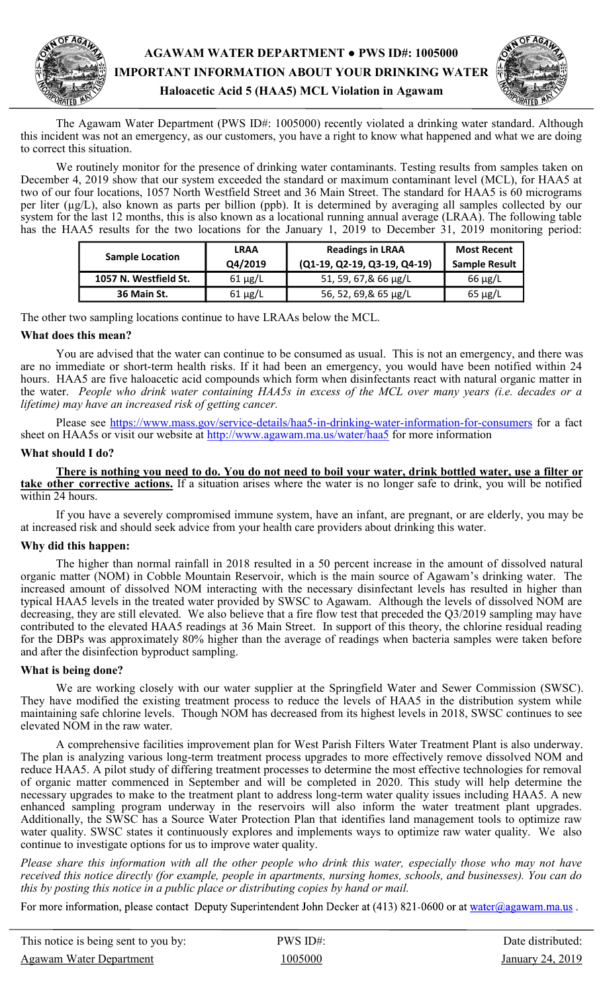# **AGAWAM WATER DEPARTMENT ● PWS ID#: 1005000 IMPORTANT INFORMATION ABOUT YOUR DRINKING WATER Haloacetic Acid 5 (HAA5) MCL Violation in Agawam**



The Agawam Water Department (PWS ID#: 1005000) recently violated a drinking water standard. Although this incident was not an emergency, as our customers, you have a right to know what happened and what we are doing to correct this situation.

 We routinely monitor for the presence of drinking water contaminants. Testing results from samples taken on December 4, 2019 show that our system exceeded the standard or maximum contaminant level (MCL), for HAA5 at two of our four locations, 1057 North Westfield Street and 36 Main Street. The standard for HAA5 is 60 micrograms per liter (µg/L), also known as parts per billion (ppb). It is determined by averaging all samples collected by our system for the last 12 months, this is also known as a locational running annual average (LRAA). The following table has the HAA5 results for the two locations for the January 1, 2019 to December 31, 2019 monitoring period:

| <b>Sample Location</b> | <b>LRAA</b><br>Q4/2019 | <b>Readings in LRAA</b><br>$(Q1-19, Q2-19, Q3-19, Q4-19)$ | <b>Most Recent</b><br><b>Sample Result</b> |
|------------------------|------------------------|-----------------------------------------------------------|--------------------------------------------|
| 1057 N. Westfield St.  | $61 \mu g/L$           | 51, 59, 67,& 66 µg/L                                      | $66 \mu g/L$                               |
| 36 Main St.            | $61 \mu g/L$           | 56, 52, 69,& 65 µg/L                                      | $65 \mu g/L$                               |

The other two sampling locations continue to have LRAAs below the MCL.

## **What does this mean?**

 You are advised that the water can continue to be consumed as usual. This is not an emergency, and there was are no immediate or short-term health risks. If it had been an emergency, you would have been notified within 24 hours. HAA5 are five haloacetic acid compounds which form when disinfectants react with natural organic matter in the water. *People who drink water containing HAA5s in excess of the MCL over many years (i.e. decades or a lifetime) may have an increased risk of getting cancer.* 

Please see [https://www.mass.gov/service](https://www.mass.gov/service-details/haa5-in-drinking-water-information-for-consumers)-details/haa5-in-drinking-water-information-for-consumers</u> for a fact sheet on HAA5s or visit our website at http://www.agawam.ma.us/water/haa5 for more information

## **What should I do?**

 **There is nothing you need to do. You do not need to boil your water, drink bottled water, use a filter or take other corrective actions.** If a situation arises where the water is no longer safe to drink, you will be notified within 24 hours.

 If you have a severely compromised immune system, have an infant, are pregnant, or are elderly, you may be at increased risk and should seek advice from your health care providers about drinking this water.

## **Why did this happen:**

The higher than normal rainfall in 2018 resulted in a 50 percent increase in the amount of dissolved natural organic matter (NOM) in Cobble Mountain Reservoir, which is the main source of Agawam's drinking water. The increased amount of dissolved NOM interacting with the necessary disinfectant levels has resulted in higher than typical HAA5 levels in the treated water provided by SWSC to Agawam. Although the levels of dissolved NOM are decreasing, they are still elevated. We also believe that a fire flow test that preceded the Q3/2019 sampling may have contributed to the elevated HAA5 readings at 36 Main Street. In support of this theory, the chlorine residual reading for the DBPs was approximately 80% higher than the average of readings when bacteria samples were taken before and after the disinfection byproduct sampling.

## **What is being done?**

We are working closely with our water supplier at the Springfield Water and Sewer Commission (SWSC). They have modified the existing treatment process to reduce the levels of HAA5 in the distribution system while maintaining safe chlorine levels. Though NOM has decreased from its highest levels in 2018, SWSC continues to see elevated NOM in the raw water.

 A comprehensive facilities improvement plan for West Parish Filters Water Treatment Plant is also underway. The plan is analyzing various long-term treatment process upgrades to more effectively remove dissolved NOM and reduce HAA5. A pilot study of differing treatment processes to determine the most effective technologies for removal of organic matter commenced in September and will be completed in 2020. This study will help determine the necessary upgrades to make to the treatment plant to address long-term water quality issues including HAA5. A new enhanced sampling program underway in the reservoirs will also inform the water treatment plant upgrades. Additionally, the SWSC has a Source Water Protection Plan that identifies land management tools to optimize raw water quality. SWSC states it continuously explores and implements ways to optimize raw water quality. We also continue to investigate options for us to improve water quality.

*Please share this information with all the other people who drink this water, especially those who may not have received this notice directly (for example, people in apartments, nursing homes, schools, and businesses). You can do this by posting this notice in a public place or distributing copies by hand or mail.*

For more information, please contact Deputy Superintendent John Decker at (413) 821-0600 or at water@agawam.ma.us.